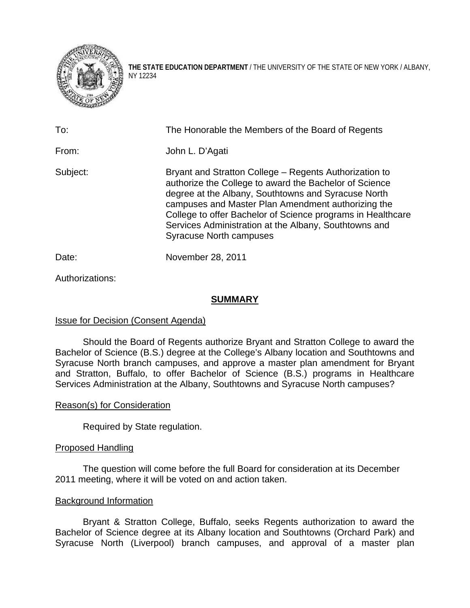

**THE STATE EDUCATION DEPARTMENT** / THE UNIVERSITY OF THE STATE OF NEW YORK / ALBANY, NY 12234

| To:      | The Honorable the Members of the Board of Regents                                                                                                                                                                                                                                                                                                                                       |  |  |  |  |  |
|----------|-----------------------------------------------------------------------------------------------------------------------------------------------------------------------------------------------------------------------------------------------------------------------------------------------------------------------------------------------------------------------------------------|--|--|--|--|--|
| From:    | John L. D'Agati                                                                                                                                                                                                                                                                                                                                                                         |  |  |  |  |  |
| Subject: | Bryant and Stratton College – Regents Authorization to<br>authorize the College to award the Bachelor of Science<br>degree at the Albany, Southtowns and Syracuse North<br>campuses and Master Plan Amendment authorizing the<br>College to offer Bachelor of Science programs in Healthcare<br>Services Administration at the Albany, Southtowns and<br><b>Syracuse North campuses</b> |  |  |  |  |  |
| Date:    | November 28, 2011                                                                                                                                                                                                                                                                                                                                                                       |  |  |  |  |  |

Authorizations:

## **SUMMARY**

# Issue for Decision (Consent Agenda)

Should the Board of Regents authorize Bryant and Stratton College to award the Bachelor of Science (B.S.) degree at the College's Albany location and Southtowns and Syracuse North branch campuses, and approve a master plan amendment for Bryant and Stratton, Buffalo, to offer Bachelor of Science (B.S.) programs in Healthcare Services Administration at the Albany, Southtowns and Syracuse North campuses?

### Reason(s) for Consideration

Required by State regulation.

### Proposed Handling

The question will come before the full Board for consideration at its December 2011 meeting, where it will be voted on and action taken.

### Background Information

Bryant & Stratton College, Buffalo, seeks Regents authorization to award the Bachelor of Science degree at its Albany location and Southtowns (Orchard Park) and Syracuse North (Liverpool) branch campuses, and approval of a master plan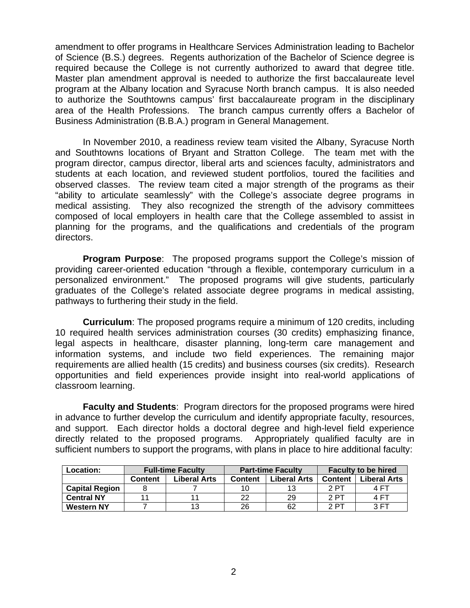amendment to offer programs in Healthcare Services Administration leading to Bachelor of Science (B.S.) degrees. Regents authorization of the Bachelor of Science degree is required because the College is not currently authorized to award that degree title. Master plan amendment approval is needed to authorize the first baccalaureate level program at the Albany location and Syracuse North branch campus. It is also needed to authorize the Southtowns campus' first baccalaureate program in the disciplinary area of the Health Professions. The branch campus currently offers a Bachelor of Business Administration (B.B.A.) program in General Management.

In November 2010, a readiness review team visited the Albany, Syracuse North and Southtowns locations of Bryant and Stratton College. The team met with the program director, campus director, liberal arts and sciences faculty, administrators and students at each location, and reviewed student portfolios, toured the facilities and observed classes. The review team cited a major strength of the programs as their "ability to articulate seamlessly" with the College's associate degree programs in medical assisting. They also recognized the strength of the advisory committees composed of local employers in health care that the College assembled to assist in planning for the programs, and the qualifications and credentials of the program directors.

**Program Purpose**: The proposed programs support the College's mission of providing career-oriented education "through a flexible, contemporary curriculum in a personalized environment." The proposed programs will give students, particularly graduates of the College's related associate degree programs in medical assisting, pathways to furthering their study in the field.

**Curriculum**: The proposed programs require a minimum of 120 credits, including 10 required health services administration courses (30 credits) emphasizing finance, legal aspects in healthcare, disaster planning, long-term care management and information systems, and include two field experiences. The remaining major requirements are allied health (15 credits) and business courses (six credits). Research opportunities and field experiences provide insight into real-world applications of classroom learning.

**Faculty and Students**: Program directors for the proposed programs were hired in advance to further develop the curriculum and identify appropriate faculty, resources, and support. Each director holds a doctoral degree and high-level field experience directly related to the proposed programs. Appropriately qualified faculty are in sufficient numbers to support the programs, with plans in place to hire additional faculty:

| <b>Location:</b>      | <b>Full-time Faculty</b> |                     | <b>Part-time Faculty</b> |                     | <b>Faculty to be hired</b> |                     |
|-----------------------|--------------------------|---------------------|--------------------------|---------------------|----------------------------|---------------------|
|                       | <b>Content</b>           | <b>Liberal Arts</b> | <b>Content</b>           | <b>Liberal Arts</b> | <b>Content</b>             | <b>Liberal Arts</b> |
| <b>Capital Region</b> |                          |                     | 10                       |                     | 2 PT                       | 4 FT                |
| <b>Central NY</b>     |                          |                     | つつ                       | 29                  | 2 PT                       | 4 FT                |
| <b>Western NY</b>     |                          | 13                  | 26                       | 62                  | 2 PT                       | 3 FT                |